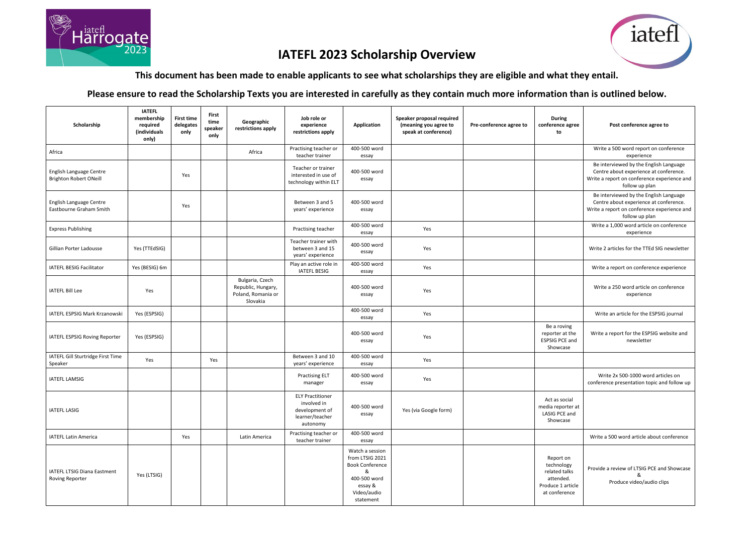

## **IATEFL 2023 Scholarship Overview**

**This document has been made to enable applicants to see what scholarships they are eligible and what they entail.**

**Please ensure to read the Scholarship Texts you are interested in carefully as they contain much more information than is outlined below.**

| Scholarship                                              | <b>IATEFL</b><br>membership<br>required<br>(individuals<br>only) | <b>First time</b><br>delegates<br>only | First<br>Geographic<br>time<br>restrictions apply<br>speaker<br>only    | Job role or<br>experience<br>restrictions apply                                         | Application                                                                                                              | Speaker proposal required<br>(meaning you agree to<br>speak at conference) | Pre-conference agree to | <b>During</b><br>conference agree<br>to                                                     | Post conference agree to                                                                                                                          |
|----------------------------------------------------------|------------------------------------------------------------------|----------------------------------------|-------------------------------------------------------------------------|-----------------------------------------------------------------------------------------|--------------------------------------------------------------------------------------------------------------------------|----------------------------------------------------------------------------|-------------------------|---------------------------------------------------------------------------------------------|---------------------------------------------------------------------------------------------------------------------------------------------------|
| Africa                                                   |                                                                  |                                        | Africa                                                                  | Practising teacher or<br>teacher trainer                                                | 400-500 word<br>essay                                                                                                    |                                                                            |                         |                                                                                             | Write a 500 word report on conference<br>experience                                                                                               |
| English Language Centre<br><b>Brighton Robert ONeill</b> |                                                                  | Yes                                    |                                                                         | Teacher or trainer<br>interested in use of<br>technology within ELT                     | 400-500 word<br>essay                                                                                                    |                                                                            |                         |                                                                                             | Be interviewed by the English Language<br>Centre about experience at conference.<br>Write a report on conference experience and<br>follow up plan |
| English Language Centre<br>Eastbourne Graham Smith       |                                                                  | Yes                                    |                                                                         | Between 3 and 5<br>years' experience                                                    | 400-500 word<br>essay                                                                                                    |                                                                            |                         |                                                                                             | Be interviewed by the English Language<br>Centre about experience at conference.<br>Write a report on conference experience and<br>follow up plan |
| <b>Express Publishing</b>                                |                                                                  |                                        |                                                                         | Practising teacher                                                                      | 400-500 word<br>essay                                                                                                    | Yes                                                                        |                         |                                                                                             | Write a 1,000 word article on conference<br>experience                                                                                            |
| Gillian Porter Ladousse                                  | Yes (TTEdSIG)                                                    |                                        |                                                                         | Teacher trainer with<br>between 3 and 15<br>years' experience                           | 400-500 word<br>essay                                                                                                    | Yes                                                                        |                         |                                                                                             | Write 2 articles for the TTEd SIG newsletter                                                                                                      |
| IATEFL BESIG Facilitator                                 | Yes (BESIG) 6m                                                   |                                        |                                                                         | Play an active role in<br><b>IATEFL BESIG</b>                                           | 400-500 word<br>essay                                                                                                    | Yes                                                                        |                         |                                                                                             | Write a report on conference experience                                                                                                           |
| <b>IATEFL Bill Lee</b>                                   | Yes                                                              |                                        | Bulgaria, Czech<br>Republic, Hungary,<br>Poland, Romania or<br>Slovakia |                                                                                         | 400-500 word<br>essay                                                                                                    | Yes                                                                        |                         |                                                                                             | Write a 250 word article on conference<br>experience                                                                                              |
| IATEFL ESPSIG Mark Krzanowski                            | Yes (ESPSIG)                                                     |                                        |                                                                         |                                                                                         | 400-500 word<br>essay                                                                                                    | Yes                                                                        |                         |                                                                                             | Write an article for the ESPSIG journal                                                                                                           |
| IATEFL ESPSIG Roving Reporter                            | Yes (ESPSIG)                                                     |                                        |                                                                         |                                                                                         | 400-500 word<br>essay                                                                                                    | Yes                                                                        |                         | Be a roving<br>reporter at the<br><b>ESPSIG PCE and</b><br>Showcase                         | Write a report for the ESPSIG website and<br>newsletter                                                                                           |
| IATEFL Gill Sturtridge First Time<br>Speaker             | Yes                                                              |                                        | Yes                                                                     | Between 3 and 10<br>years' experience                                                   | 400-500 word<br>essay                                                                                                    | Yes                                                                        |                         |                                                                                             |                                                                                                                                                   |
| <b>IATEFL LAMSIG</b>                                     |                                                                  |                                        |                                                                         | <b>Practising ELT</b><br>manager                                                        | 400-500 word<br>essay                                                                                                    | Yes                                                                        |                         |                                                                                             | Write 2x 500-1000 word articles on<br>conference presentation topic and follow up                                                                 |
| <b>IATEFL LASIG</b>                                      |                                                                  |                                        |                                                                         | <b>ELY Practitioner</b><br>involved in<br>development of<br>learner/teacher<br>autonomy | 400-500 word<br>essay                                                                                                    | Yes (via Google form)                                                      |                         | Act as social<br>media reporter at<br>LASIG PCE and<br>Showcase                             |                                                                                                                                                   |
| <b>IATEFL Latin America</b>                              |                                                                  | Yes                                    | Latin America                                                           | Practising teacher or<br>teacher trainer                                                | 400-500 word<br>essay                                                                                                    |                                                                            |                         |                                                                                             | Write a 500 word article about conference                                                                                                         |
| IATEFL LTSIG Diana Eastment<br><b>Roving Reporter</b>    | Yes (LTSIG)                                                      |                                        |                                                                         |                                                                                         | Watch a session<br>from LTSIG 2021<br><b>Book Conference</b><br>&<br>400-500 word<br>essay &<br>Video/audio<br>statement |                                                                            |                         | Report on<br>technology<br>related talks<br>attended.<br>Produce 1 article<br>at conference | Provide a review of LTSIG PCE and Showcase<br>&<br>Produce video/audio clips                                                                      |